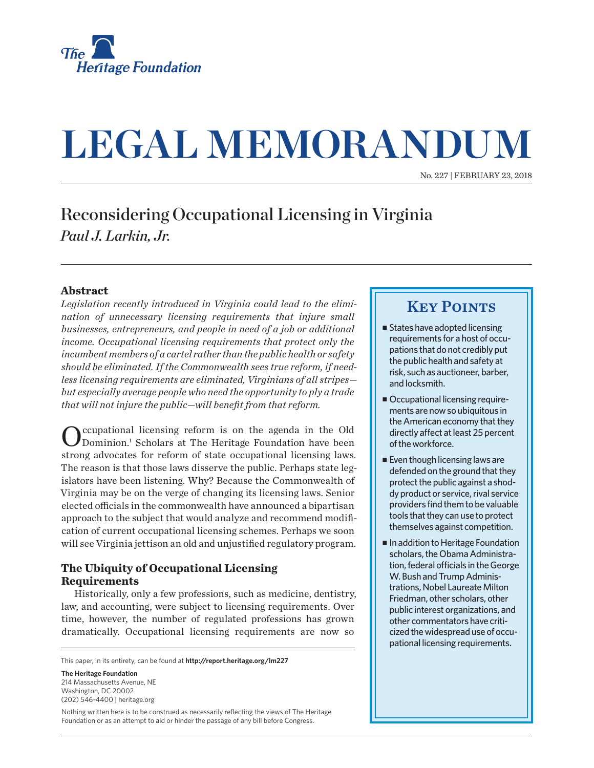

# **LEGAL MEMORANDUM**

No. 227 | February 23, 2018

## Reconsidering Occupational Licensing in Virginia *Paul J. Larkin, Jr.*

#### **Abstract**

*Legislation recently introduced in Virginia could lead to the elimination of unnecessary licensing requirements that injure small businesses, entrepreneurs, and people in need of a job or additional income. Occupational licensing requirements that protect only the incumbent members of a cartel rather than the public health or safety should be eliminated. If the Commonwealth sees true reform, if needless licensing requirements are eliminated, Virginians of all stripes but especially average people who need the opportunity to ply a trade that will not injure the public—will benefit from that reform.*

Occupational licensing reform is on the agenda in the Old Dominion.1 Scholars at The Heritage Foundation have been strong advocates for reform of state occupational licensing laws. The reason is that those laws disserve the public. Perhaps state legislators have been listening. Why? Because the Commonwealth of Virginia may be on the verge of changing its licensing laws. Senior elected officials in the commonwealth have announced a bipartisan approach to the subject that would analyze and recommend modification of current occupational licensing schemes. Perhaps we soon will see Virginia jettison an old and unjustified regulatory program.

## **The Ubiquity of Occupational Licensing Requirements**

Historically, only a few professions, such as medicine, dentistry, law, and accounting, were subject to licensing requirements. Over time, however, the number of regulated professions has grown dramatically. Occupational licensing requirements are now so

This paper, in its entirety, can be found at **http://report.heritage.org/lm227**

**The Heritage Foundation** 214 Massachusetts Avenue, NF Washington, DC 20002 (202) 546-4400 | heritage.org

Nothing written here is to be construed as necessarily reflecting the views of The Heritage Foundation or as an attempt to aid or hinder the passage of any bill before Congress.

## **KEY POINTS**

- $\blacksquare$  States have adopted licensing requirements for a host of occupations that do not credibly put the public health and safety at risk, such as auctioneer, barber, and locksmith.
- Occupational licensing requirements are now so ubiquitous in the American economy that they directly affect at least 25 percent of the workforce.
- $\blacksquare$  Even though licensing laws are defended on the ground that they protect the public against a shoddy product or service, rival service providers find them to be valuable tools that they can use to protect themselves against competition.
- In addition to Heritage Foundation scholars, the Obama Administration, federal officials in the George W. Bush and Trump Administrations, Nobel Laureate Milton Friedman, other scholars, other public interest organizations, and other commentators have criticized the widespread use of occupational licensing requirements.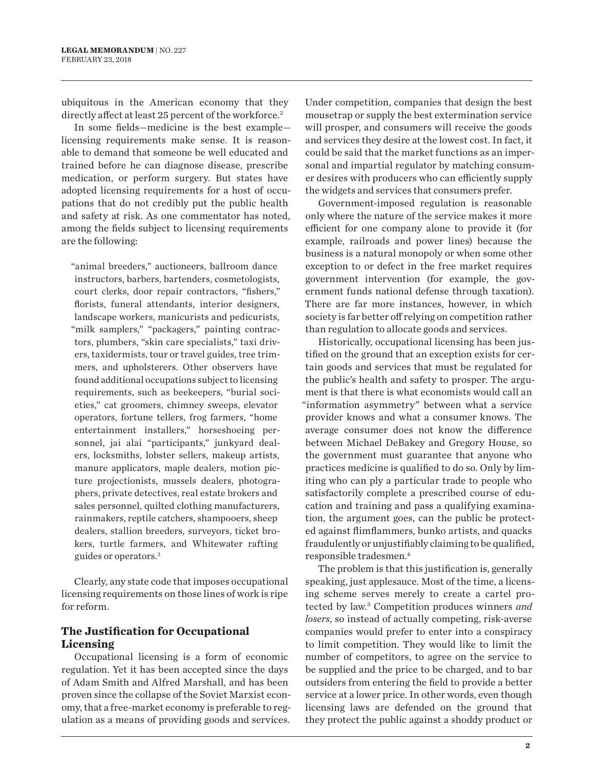ubiquitous in the American economy that they directly affect at least 25 percent of the workforce.<sup>2</sup>

In some fields—medicine is the best example licensing requirements make sense. It is reasonable to demand that someone be well educated and trained before he can diagnose disease, prescribe medication, or perform surgery. But states have adopted licensing requirements for a host of occupations that do not credibly put the public health and safety at risk. As one commentator has noted, among the fields subject to licensing requirements are the following:

"animal breeders," auctioneers, ballroom dance instructors, barbers, bartenders, cosmetologists, court clerks, door repair contractors, "fishers," florists, funeral attendants, interior designers, landscape workers, manicurists and pedicurists, "milk samplers," "packagers," painting contractors, plumbers, "skin care specialists," taxi drivers, taxidermists, tour or travel guides, tree trimmers, and upholsterers. Other observers have found additional occupations subject to licensing requirements, such as beekeepers, "burial societies," cat groomers, chimney sweeps, elevator operators, fortune tellers, frog farmers, "home entertainment installers," horseshoeing personnel, jai alai "participants," junkyard dealers, locksmiths, lobster sellers, makeup artists, manure applicators, maple dealers, motion picture projectionists, mussels dealers, photographers, private detectives, real estate brokers and sales personnel, quilted clothing manufacturers, rainmakers, reptile catchers, shampooers, sheep dealers, stallion breeders, surveyors, ticket brokers, turtle farmers, and Whitewater rafting guides or operators.3

Clearly, any state code that imposes occupational licensing requirements on those lines of work is ripe for reform.

## **The Justification for Occupational Licensing**

Occupational licensing is a form of economic regulation. Yet it has been accepted since the days of Adam Smith and Alfred Marshall, and has been proven since the collapse of the Soviet Marxist economy, that a free-market economy is preferable to regulation as a means of providing goods and services. Under competition, companies that design the best mousetrap or supply the best extermination service will prosper, and consumers will receive the goods and services they desire at the lowest cost. In fact, it could be said that the market functions as an impersonal and impartial regulator by matching consumer desires with producers who can efficiently supply the widgets and services that consumers prefer.

Government-imposed regulation is reasonable only where the nature of the service makes it more efficient for one company alone to provide it (for example, railroads and power lines) because the business is a natural monopoly or when some other exception to or defect in the free market requires government intervention (for example, the government funds national defense through taxation). There are far more instances, however, in which society is far better off relying on competition rather than regulation to allocate goods and services.

Historically, occupational licensing has been justified on the ground that an exception exists for certain goods and services that must be regulated for the public's health and safety to prosper. The argument is that there is what economists would call an "information asymmetry" between what a service provider knows and what a consumer knows. The average consumer does not know the difference between Michael DeBakey and Gregory House, so the government must guarantee that anyone who practices medicine is qualified to do so. Only by limiting who can ply a particular trade to people who satisfactorily complete a prescribed course of education and training and pass a qualifying examination, the argument goes, can the public be protected against flimflammers, bunko artists, and quacks fraudulently or unjustifiably claiming to be qualified, responsible tradesmen.4

The problem is that this justification is, generally speaking, just applesauce. Most of the time, a licensing scheme serves merely to create a cartel protected by law.<sup>5</sup> Competition produces winners and *losers*, so instead of actually competing, risk-averse companies would prefer to enter into a conspiracy to limit competition. They would like to limit the number of competitors, to agree on the service to be supplied and the price to be charged, and to bar outsiders from entering the field to provide a better service at a lower price. In other words, even though licensing laws are defended on the ground that they protect the public against a shoddy product or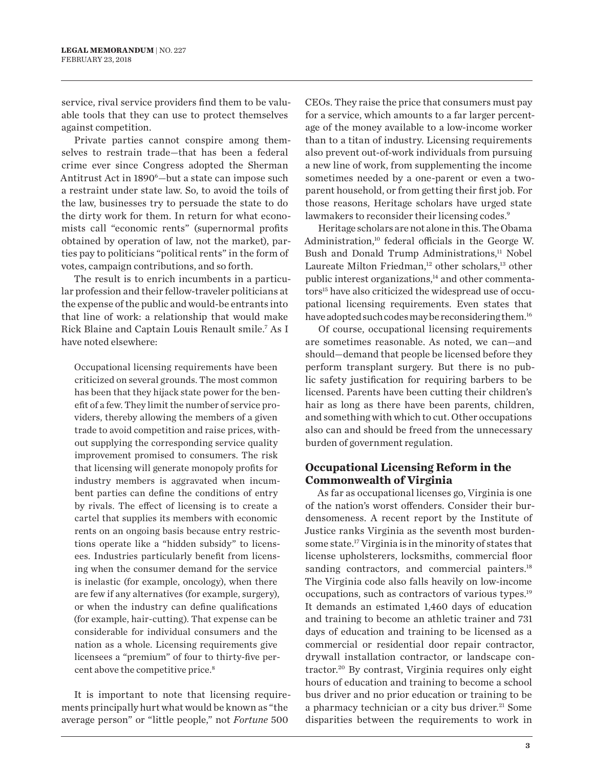service, rival service providers find them to be valuable tools that they can use to protect themselves against competition.

Private parties cannot conspire among themselves to restrain trade—that has been a federal crime ever since Congress adopted the Sherman Antitrust Act in 1890<sup>6</sup>-but a state can impose such a restraint under state law. So, to avoid the toils of the law, businesses try to persuade the state to do the dirty work for them. In return for what economists call "economic rents" (supernormal profits obtained by operation of law, not the market), parties pay to politicians "political rents" in the form of votes, campaign contributions, and so forth.

The result is to enrich incumbents in a particular profession and their fellow-traveler politicians at the expense of the public and would-be entrants into that line of work: a relationship that would make Rick Blaine and Captain Louis Renault smile.7 As I have noted elsewhere:

Occupational licensing requirements have been criticized on several grounds. The most common has been that they hijack state power for the benefit of a few. They limit the number of service providers, thereby allowing the members of a given trade to avoid competition and raise prices, without supplying the corresponding service quality improvement promised to consumers. The risk that licensing will generate monopoly profits for industry members is aggravated when incumbent parties can define the conditions of entry by rivals. The effect of licensing is to create a cartel that supplies its members with economic rents on an ongoing basis because entry restrictions operate like a "hidden subsidy" to licensees. Industries particularly benefit from licensing when the consumer demand for the service is inelastic (for example, oncology), when there are few if any alternatives (for example, surgery), or when the industry can define qualifications (for example, hair-cutting). That expense can be considerable for individual consumers and the nation as a whole. Licensing requirements give licensees a "premium" of four to thirty-five percent above the competitive price.<sup>8</sup>

It is important to note that licensing requirements principally hurt what would be known as "the average person" or "little people," not *Fortune* 500

CEOs. They raise the price that consumers must pay for a service, which amounts to a far larger percentage of the money available to a low-income worker than to a titan of industry. Licensing requirements also prevent out-of-work individuals from pursuing a new line of work, from supplementing the income sometimes needed by a one-parent or even a twoparent household, or from getting their first job. For those reasons, Heritage scholars have urged state lawmakers to reconsider their licensing codes.<sup>9</sup>

Heritage scholars are not alone in this. The Obama Administration,10 federal officials in the George W. Bush and Donald Trump Administrations,<sup>11</sup> Nobel Laureate Milton Friedman,<sup>12</sup> other scholars,<sup>13</sup> other public interest organizations, $14$  and other commentators<sup>15</sup> have also criticized the widespread use of occupational licensing requirements. Even states that have adopted such codes may be reconsidering them.<sup>16</sup>

Of course, occupational licensing requirements are sometimes reasonable. As noted, we can—and should—demand that people be licensed before they perform transplant surgery. But there is no public safety justification for requiring barbers to be licensed. Parents have been cutting their children's hair as long as there have been parents, children, and something with which to cut. Other occupations also can and should be freed from the unnecessary burden of government regulation.

### **Occupational Licensing Reform in the Commonwealth of Virginia**

As far as occupational licenses go, Virginia is one of the nation's worst offenders. Consider their burdensomeness. A recent report by the Institute of Justice ranks Virginia as the seventh most burdensome state.17 Virginia is in the minority of states that license upholsterers, locksmiths, commercial floor sanding contractors, and commercial painters.<sup>18</sup> The Virginia code also falls heavily on low-income occupations, such as contractors of various types.19 It demands an estimated 1,460 days of education and training to become an athletic trainer and 731 days of education and training to be licensed as a commercial or residential door repair contractor, drywall installation contractor, or landscape contractor.20 By contrast, Virginia requires only eight hours of education and training to become a school bus driver and no prior education or training to be a pharmacy technician or a city bus driver.<sup>21</sup> Some disparities between the requirements to work in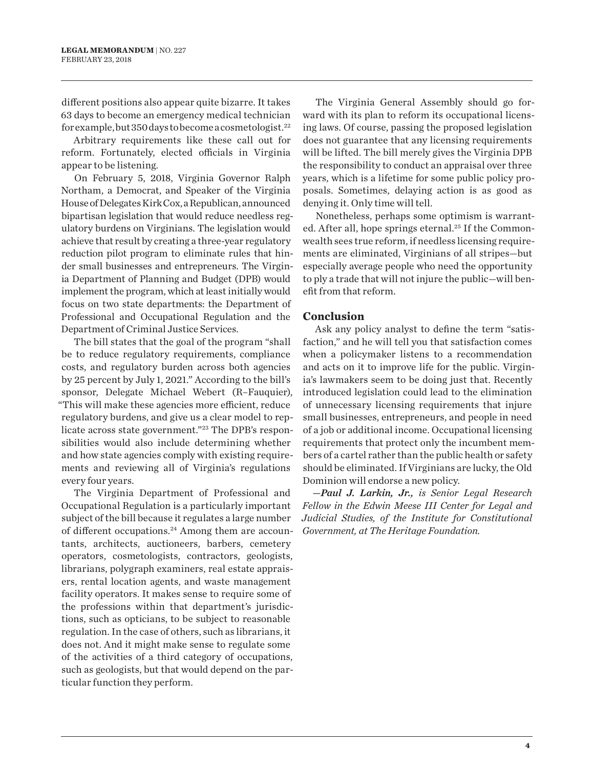different positions also appear quite bizarre. It takes 63 days to become an emergency medical technician for example, but 350 days to become a cosmetologist.22

Arbitrary requirements like these call out for reform. Fortunately, elected officials in Virginia appear to be listening.

On February 5, 2018, Virginia Governor Ralph Northam, a Democrat, and Speaker of the Virginia House of Delegates Kirk Cox, a Republican, announced bipartisan legislation that would reduce needless regulatory burdens on Virginians. The legislation would achieve that result by creating a three-year regulatory reduction pilot program to eliminate rules that hinder small businesses and entrepreneurs. The Virginia Department of Planning and Budget (DPB) would implement the program, which at least initially would focus on two state departments: the Department of Professional and Occupational Regulation and the Department of Criminal Justice Services.

The bill states that the goal of the program "shall be to reduce regulatory requirements, compliance costs, and regulatory burden across both agencies by 25 percent by July 1, 2021." According to the bill's sponsor, Delegate Michael Webert (R–Fauquier), "This will make these agencies more efficient, reduce regulatory burdens, and give us a clear model to replicate across state government."23 The DPB's responsibilities would also include determining whether and how state agencies comply with existing requirements and reviewing all of Virginia's regulations every four years.

The Virginia Department of Professional and Occupational Regulation is a particularly important subject of the bill because it regulates a large number of different occupations.<sup>24</sup> Among them are accountants, architects, auctioneers, barbers, cemetery operators, cosmetologists, contractors, geologists, librarians, polygraph examiners, real estate appraisers, rental location agents, and waste management facility operators. It makes sense to require some of the professions within that department's jurisdictions, such as opticians, to be subject to reasonable regulation. In the case of others, such as librarians, it does not. And it might make sense to regulate some of the activities of a third category of occupations, such as geologists, but that would depend on the particular function they perform.

The Virginia General Assembly should go forward with its plan to reform its occupational licensing laws. Of course, passing the proposed legislation does not guarantee that any licensing requirements will be lifted. The bill merely gives the Virginia DPB the responsibility to conduct an appraisal over three years, which is a lifetime for some public policy proposals. Sometimes, delaying action is as good as denying it. Only time will tell.

Nonetheless, perhaps some optimism is warranted. After all, hope springs eternal.<sup>25</sup> If the Commonwealth sees true reform, if needless licensing requirements are eliminated, Virginians of all stripes—but especially average people who need the opportunity to ply a trade that will not injure the public—will benefit from that reform.

#### **Conclusion**

Ask any policy analyst to define the term "satisfaction," and he will tell you that satisfaction comes when a policymaker listens to a recommendation and acts on it to improve life for the public. Virginia's lawmakers seem to be doing just that. Recently introduced legislation could lead to the elimination of unnecessary licensing requirements that injure small businesses, entrepreneurs, and people in need of a job or additional income. Occupational licensing requirements that protect only the incumbent members of a cartel rather than the public health or safety should be eliminated. If Virginians are lucky, the Old Dominion will endorse a new policy.

*—Paul J. Larkin, Jr., is Senior Legal Research Fellow in the Edwin Meese III Center for Legal and Judicial Studies, of the Institute for Constitutional Government, at The Heritage Foundation.*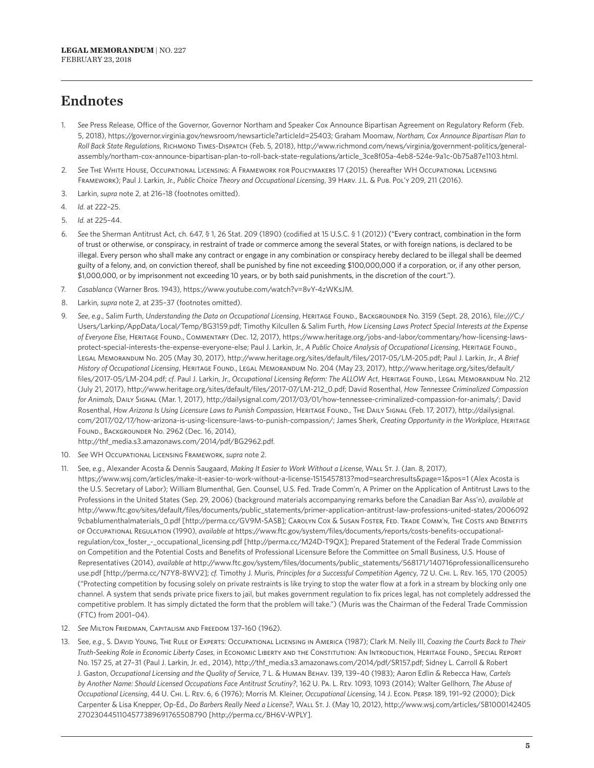## Endnotes

- 1. *See* Press Release, Office of the Governor, Governor Northam and Speaker Cox Announce Bipartisan Agreement on Regulatory Reform (Feb. 5, 2018), https://governor.virginia.gov/newsroom/newsarticle?articleId=25403; Graham Moomaw, *Northam, Cox Announce Bipartisan Plan to Roll Back State Regulations*, Richmond Times-Dispatch (Feb. 5, 2018), http://www.richmond.com/news/virginia/government-politics/generalassembly/northam-cox-announce-bipartisan-plan-to-roll-back-state-regulations/article\_3ce8f05a-4eb8-524e-9a1c-0b75a87e1103.html.
- 2. *See* The White House, Occupational Licensing: A Framework for Policymakers 17 (2015) (hereafter WH Occupational Licensing Framework); Paul J. Larkin, Jr., *Public Choice Theory and Occupational Licensing*, 39 Harv. J.L. & Pub. Pol'y 209, 211 (2016).
- 3. Larkin, *supra* note 2, at 216–18 (footnotes omitted).
- 4. *Id.* at 222–25.
- 5. *Id.* at 225–44.
- 6. *See* the Sherman Antitrust Act, ch. 647, § 1, 26 Stat. 209 (1890) (codified at 15 U.S.C. § 1 (2012)) ("Every contract, combination in the form of trust or otherwise, or conspiracy, in restraint of trade or commerce among the several States, or with foreign nations, is declared to be illegal. Every person who shall make any contract or engage in any combination or conspiracy hereby declared to be illegal shall be deemed guilty of a felony, and, on conviction thereof, shall be punished by fine not exceeding \$100,000,000 if a corporation, or, if any other person, \$1,000,000, or by imprisonment not exceeding 10 years, or by both said punishments, in the discretion of the court.").
- 7. *Casablanca* (Warner Bros. 1943), https://www.youtube.com/watch?v=8vY-4zWKsJM.
- 8. Larkin, *supra* note 2, at 235–37 (footnotes omitted).
- 9. See, e.g., Salim Furth, Understanding the Data on Occupational Licensing, HERITAGE FOUND., BACKGROUNDER No. 3159 (Sept. 28, 2016), file:///C:/ Users/Larkinp/AppData/Local/Temp/BG3159.pdf; Timothy Kilcullen & Salim Furth, *How Licensing Laws Protect Special Interests at the Expense of Everyone Else*, Heritage Found., Commentary (Dec. 12, 2017), https://www.heritage.org/jobs-and-labor/commentary/how-licensing-lawsprotect-special-interests-the-expense-everyone-else; Paul J. Larkin, Jr., *A Public Choice Analysis of Occupational Licensing*, HERITAGE FOUND., Legal Memorandum No. 205 (May 30, 2017), http://www.heritage.org/sites/default/files/2017-05/LM-205.pdf; Paul J. Larkin, Jr., *A Brief History of Occupational Licensing*, Heritage Found., Legal Memorandum No. 204 (May 23, 2017), http://www.heritage.org/sites/default/ files/2017-05/LM-204.pdf; *cf*. Paul J. Larkin, Jr., *Occupational Licensing Reform: The ALLOW Act*, Heritage Found., Legal Memorandum No. 212 (July 21, 2017), http://www.heritage.org/sites/default/files/2017-07/LM-212\_0.pdf; David Rosenthal, *How Tennessee Criminalized Compassion for Animals*, Daily Signal (Mar. 1, 2017), http://dailysignal.com/2017/03/01/how-tennessee-criminalized-compassion-for-animals/; David Rosenthal, *How Arizona Is Using Licensure Laws to Punish Compassion*, Heritage Found., The Daily Signal (Feb. 17, 2017), http://dailysignal. com/2017/02/17/how-arizona-is-using-licensure-laws-to-punish-compassion/; James Sherk, *Creating Opportunity in the Workplace*, Heritage Found., Backgrounder No. 2962 (Dec. 16, 2014),

http://thf\_media.s3.amazonaws.com/2014/pdf/BG2962.pdf.

- 10. *See* WH Occupational Licensing Framework, *supra* note 2.
- 11. See, *e.g.*, Alexander Acosta & Dennis Saugaard, *Making It Easier to Work Without a License*, Wall St. J. (Jan. 8, 2017),

https://www.wsj.com/articles/make-it-easier-to-work-without-a-license-1515457813?mod=searchresults&page=1&pos=1 (Alex Acosta is the U.S. Secretary of Labor); William Blumenthal, Gen. Counsel, U.S. Fed. Trade Comm'n, A Primer on the Application of Antitrust Laws to the Professions in the United States (Sep. 29, 2006) (background materials accompanying remarks before the Canadian Bar Ass'n), *available at* http://www.ftc.gov/sites/default/files/documents/public\_statements/primer-application-antitrust-law-professions-united-states/2006092 9cbablumenthalmaterials\_0.pdf [http://perma.cc/GV9M-SASB]; CAROLYN COX & Susan Foster, Fed. Trade Comm'n, The Costs and Benefits of Occupational Regulation (1990), *available at* https://www.ftc.gov/system/files/documents/reports/costs-benefits-occupationalregulation/cox\_foster\_-\_occupational\_licensing.pdf [http://perma.cc/M24D-T9QX]; Prepared Statement of the Federal Trade Commission on Competition and the Potential Costs and Benefits of Professional Licensure Before the Committee on Small Business, U.S. House of Representatives (2014), *available at* http://www.ftc.gov/system/files/documents/public\_statements/568171/140716professionallicensureho use.pdf [http://perma.cc/N7Y8-8WV2]; *cf.* Timothy J. Muris, *Principles for a Successful Competition Agenc*y, 72 U. Chi. L. Rev. 165, 170 (2005) ("Protecting competition by focusing solely on private restraints is like trying to stop the water flow at a fork in a stream by blocking only one channel. A system that sends private price fixers to jail, but makes government regulation to fix prices legal, has not completely addressed the competitive problem. It has simply dictated the form that the problem will take.") (Muris was the Chairman of the Federal Trade Commission (FTC) from 2001–04).

- 12. *See* Milton Friedman, Capitalism and Freedom 137–160 (1962).
- 13. See, *e.g.*, S. David Young, The Rule of Experts: Occupational Licensing in America (1987); Clark M. Neily III, *Coaxing the Courts Back to Their Truth-Seeking Role in Economic Liberty Cases*, in Economic Liberty and the Constitution: An Introduction, Heritage Found., Special Report No. 157 25, at 27–31 (Paul J. Larkin, Jr. ed., 2014), http://thf\_media.s3.amazonaws.com/2014/pdf/SR157.pdf; Sidney L. Carroll & Robert J. Gaston, *Occupational Licensing and the Quality of Service*, 7 L. & Human Behav. 139, 139–40 (1983); Aaron Edlin & Rebecca Haw, *Cartels by Another Name: Should Licensed Occupations Face Antitrust Scrutiny?*, 162 U. Pa. L. Rev. 1093, 1093 (2014); Walter Gellhorn, *The Abuse of Occupational Licensing*, 44 U. Chi. L. Rev. 6, 6 (1976); Morris M. Kleiner, *Occupational Licensing*, 14 J. Econ. Persp. 189, 191–92 (2000); Dick Carpenter & Lisa Knepper, Op-Ed., *Do Barbers Really Need a License?*, Wall St. J. (May 10, 2012), http://www.wsj.com/articles/SB1000142405 2702304451104577389691765508790 [http://perma.cc/BH6V-WPLY].